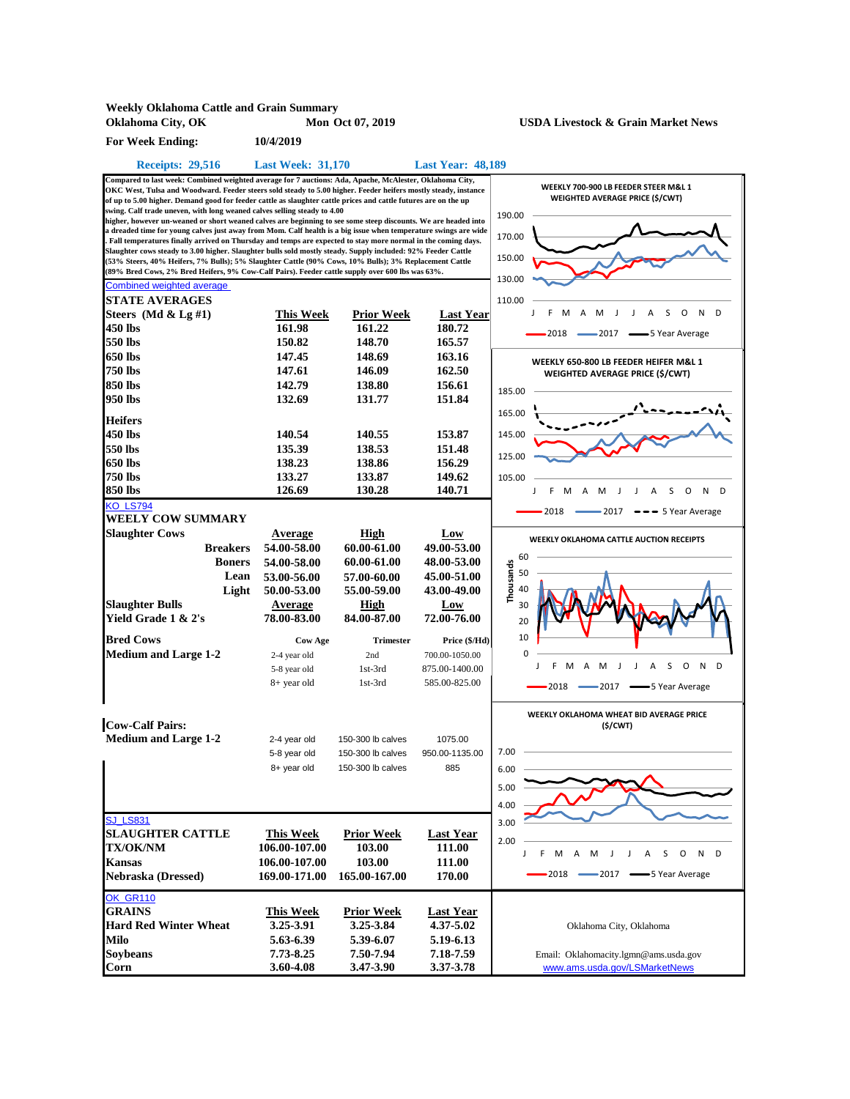| <b>Weekly Oklahoma Cattle and Grain Summary</b>                                                                                                                                                                                                                                                                                                                                                                                                                                                                                                                                                                                                                                                                                                                                                                                                                                                                                                                                                                                                                                                           |                                                                                                                                                        |                                                                                                                               |                                                                                                                                            |                                                                                                                                               |
|-----------------------------------------------------------------------------------------------------------------------------------------------------------------------------------------------------------------------------------------------------------------------------------------------------------------------------------------------------------------------------------------------------------------------------------------------------------------------------------------------------------------------------------------------------------------------------------------------------------------------------------------------------------------------------------------------------------------------------------------------------------------------------------------------------------------------------------------------------------------------------------------------------------------------------------------------------------------------------------------------------------------------------------------------------------------------------------------------------------|--------------------------------------------------------------------------------------------------------------------------------------------------------|-------------------------------------------------------------------------------------------------------------------------------|--------------------------------------------------------------------------------------------------------------------------------------------|-----------------------------------------------------------------------------------------------------------------------------------------------|
| Oklahoma City, OK                                                                                                                                                                                                                                                                                                                                                                                                                                                                                                                                                                                                                                                                                                                                                                                                                                                                                                                                                                                                                                                                                         |                                                                                                                                                        | Mon Oct 07, 2019                                                                                                              |                                                                                                                                            | <b>USDA Livestock &amp; Grain Market News</b>                                                                                                 |
| <b>For Week Ending:</b>                                                                                                                                                                                                                                                                                                                                                                                                                                                                                                                                                                                                                                                                                                                                                                                                                                                                                                                                                                                                                                                                                   | 10/4/2019                                                                                                                                              |                                                                                                                               |                                                                                                                                            |                                                                                                                                               |
| <b>Receipts: 29,516</b>                                                                                                                                                                                                                                                                                                                                                                                                                                                                                                                                                                                                                                                                                                                                                                                                                                                                                                                                                                                                                                                                                   | <b>Last Week: 31,170</b>                                                                                                                               |                                                                                                                               | <b>Last Year: 48,189</b>                                                                                                                   |                                                                                                                                               |
| Compared to last week: Combined weighted average for 7 auctions: Ada, Apache, McAlester, Oklahoma City,<br>OKC West, Tulsa and Woodward. Feeder steers sold steady to 5.00 higher. Feeder heifers mostly steady, instance<br>of up to 5.00 higher. Demand good for feeder cattle as slaughter cattle prices and cattle futures are on the up<br>swing. Calf trade uneven, with long weaned calves selling steady to 4.00<br>higher, however un-weaned or short weaned calves are beginning to see some steep discounts. We are headed into<br>a dreaded time for young calves just away from Mom. Calf health is a big issue when temperature swings are wide<br>Fall temperatures finally arrived on Thursday and temps are expected to stay more normal in the coming days.<br>Slaughter cows steady to 3.00 higher. Slaughter bulls sold mostly steady. Supply included: 92% Feeder Cattle<br>(53% Steers, 40% Heifers, 7% Bulls); 5% Slaughter Cattle (90% Cows, 10% Bulls); 3% Replacement Cattle<br>(89% Bred Cows, 2% Bred Heifers, 9% Cow-Calf Pairs). Feeder cattle supply over 600 lbs was 63%. |                                                                                                                                                        |                                                                                                                               |                                                                                                                                            | WEEKLY 700-900 LB FEEDER STEER M&L 1<br>WEIGHTED AVERAGE PRICE (\$/CWT)<br>190.00<br>170.00<br>150.00<br>130.00                               |
| <b>Combined weighted average</b>                                                                                                                                                                                                                                                                                                                                                                                                                                                                                                                                                                                                                                                                                                                                                                                                                                                                                                                                                                                                                                                                          |                                                                                                                                                        |                                                                                                                               |                                                                                                                                            |                                                                                                                                               |
| <b>STATE AVERAGES</b><br>Steers (Md $\&$ Lg #1)<br>450 lbs<br>550 lbs                                                                                                                                                                                                                                                                                                                                                                                                                                                                                                                                                                                                                                                                                                                                                                                                                                                                                                                                                                                                                                     | This Week<br>161.98<br>150.82                                                                                                                          | <u>Prior Week</u><br>161.22<br>148.70                                                                                         | <b>Last Year</b><br>180.72<br>165.57                                                                                                       | 110.00<br>N<br>D<br>M<br>A<br>M<br>A<br>S<br>O<br>2018<br>-5 Year Average<br>-2017                                                            |
| 650 lbs                                                                                                                                                                                                                                                                                                                                                                                                                                                                                                                                                                                                                                                                                                                                                                                                                                                                                                                                                                                                                                                                                                   | 147.45                                                                                                                                                 | 148.69                                                                                                                        | 163.16                                                                                                                                     | WEEKLY 650-800 LB FEEDER HEIFER M&L 1                                                                                                         |
| 750 lbs                                                                                                                                                                                                                                                                                                                                                                                                                                                                                                                                                                                                                                                                                                                                                                                                                                                                                                                                                                                                                                                                                                   | 147.61                                                                                                                                                 | 146.09                                                                                                                        | 162.50                                                                                                                                     | <b>WEIGHTED AVERAGE PRICE (\$/CWT)</b>                                                                                                        |
| 850 lbs                                                                                                                                                                                                                                                                                                                                                                                                                                                                                                                                                                                                                                                                                                                                                                                                                                                                                                                                                                                                                                                                                                   | 142.79                                                                                                                                                 | 138.80                                                                                                                        | 156.61                                                                                                                                     | 185.00                                                                                                                                        |
| 950 lbs                                                                                                                                                                                                                                                                                                                                                                                                                                                                                                                                                                                                                                                                                                                                                                                                                                                                                                                                                                                                                                                                                                   | 132.69                                                                                                                                                 | 131.77                                                                                                                        | 151.84                                                                                                                                     |                                                                                                                                               |
| <b>Heifers</b><br>450 lbs<br>550 lbs<br>650 lbs<br><b>750 lbs</b><br>850 lbs                                                                                                                                                                                                                                                                                                                                                                                                                                                                                                                                                                                                                                                                                                                                                                                                                                                                                                                                                                                                                              | 140.54<br>135.39<br>138.23<br>133.27<br>126.69                                                                                                         | 140.55<br>138.53<br>138.86<br>133.87<br>130.28                                                                                | 153.87<br>151.48<br>156.29<br>149.62<br>140.71                                                                                             | 165.00<br>145.00<br>125.00<br>105.00<br>F<br>S<br>O<br>N<br>D<br>M<br>А<br>M<br>А                                                             |
| <b>KO LS794</b>                                                                                                                                                                                                                                                                                                                                                                                                                                                                                                                                                                                                                                                                                                                                                                                                                                                                                                                                                                                                                                                                                           |                                                                                                                                                        |                                                                                                                               |                                                                                                                                            | 2018<br>- 2017<br>- 5 Year Average                                                                                                            |
| <b>WEELY COW SUMMARY</b><br><b>Slaughter Cows</b><br><b>Breakers</b><br><b>Boners</b><br>Lean<br>Light<br><b>Slaughter Bulls</b><br>Yield Grade 1 & 2's<br><b>Bred Cows</b><br><b>Medium and Large 1-2</b>                                                                                                                                                                                                                                                                                                                                                                                                                                                                                                                                                                                                                                                                                                                                                                                                                                                                                                | Average<br>54.00-58.00<br>54.00-58.00<br>53.00-56.00<br>50.00-53.00<br><b>Average</b><br>78.00-83.00<br><b>Cow Age</b><br>2-4 year old<br>5-8 year old | High<br>60.00-61.00<br>60.00-61.00<br>57.00-60.00<br>55.00-59.00<br>High<br>84.00-87.00<br><b>Trimester</b><br>2nd<br>1st-3rd | Low<br>49.00-53.00<br>48.00-53.00<br>45.00-51.00<br>43.00-49.00<br>Low<br>72.00-76.00<br>Price (\$/Hd)<br>700.00-1050.00<br>875.00-1400.00 | <b>WEEKLY OKLAHOMA CATTLE AUCTION RECEIPTS</b><br>60<br>Thousands<br>50<br>40<br>30<br>20<br>10<br>0<br>N<br>D<br>J<br>Α<br>M<br>O<br>F.<br>M |
|                                                                                                                                                                                                                                                                                                                                                                                                                                                                                                                                                                                                                                                                                                                                                                                                                                                                                                                                                                                                                                                                                                           | 8+ year old                                                                                                                                            | 1st-3rd                                                                                                                       | 585.00-825.00                                                                                                                              | $-2018$<br>-5 Year Average<br>$-2017$<br>WEEKLY OKLAHOMA WHEAT BID AVERAGE PRICE                                                              |
| <b>Cow-Calf Pairs:</b><br><b>Medium and Large 1-2</b>                                                                                                                                                                                                                                                                                                                                                                                                                                                                                                                                                                                                                                                                                                                                                                                                                                                                                                                                                                                                                                                     | 2-4 year old<br>5-8 year old<br>8+ year old                                                                                                            | 150-300 lb calves<br>150-300 lb calves<br>150-300 lb calves                                                                   | 1075.00<br>950.00-1135.00<br>885                                                                                                           | (S/CWT)<br>7.00<br>6.00<br>5.00<br>4.00                                                                                                       |
| <b>SJ LS831</b><br><b>SLAUGHTER CATTLE</b><br><b>TX/OK/NM</b><br><b>Kansas</b><br><b>Nebraska (Dressed)</b>                                                                                                                                                                                                                                                                                                                                                                                                                                                                                                                                                                                                                                                                                                                                                                                                                                                                                                                                                                                               | <b>This Week</b><br>106.00-107.00<br>106.00-107.00<br>169.00-171.00                                                                                    | <b>Prior Week</b><br>103.00<br>103.00<br>165.00-167.00                                                                        | <b>Last Year</b><br>111.00<br>111.00<br>170.00                                                                                             | 3.00<br>2.00<br>F<br>M<br>Α<br>S<br>N<br>D<br>М<br>J<br>Α<br>O<br>2018<br>→5 Year Average<br>$-2017$                                          |
| OK_GR110<br><b>GRAINS</b><br><b>Hard Red Winter Wheat</b><br><b>Milo</b><br><b>Soybeans</b><br>Corn                                                                                                                                                                                                                                                                                                                                                                                                                                                                                                                                                                                                                                                                                                                                                                                                                                                                                                                                                                                                       | <b>This Week</b><br>3.25-3.91<br>5.63-6.39<br>7.73-8.25<br>3.60-4.08                                                                                   | <b>Prior Week</b><br>3.25-3.84<br>5.39-6.07<br>7.50-7.94<br>3.47-3.90                                                         | <b>Last Year</b><br>4.37-5.02<br>5.19-6.13<br>7.18-7.59<br>3.37-3.78                                                                       | Oklahoma City, Oklahoma<br>Email: Oklahomacity.lgmn@ams.usda.gov<br>www.ams.usda.gov/LSMarketNews                                             |